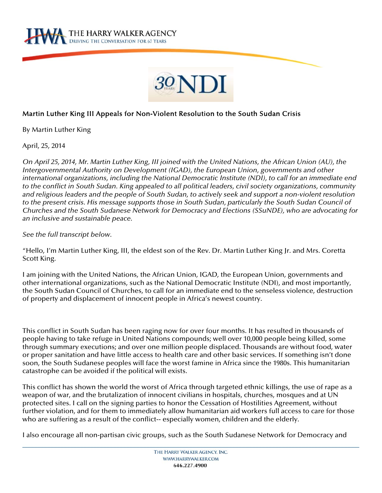



## Martin Luther King III Appeals for Non-Violent Resolution to the South Sudan Crisis

By Martin Luther King

April, 25, 2014

*On April 25, 2014, Mr. Martin Luther King, III joined with the United Nations, the African Union (AU), the Intergovernmental Authority on Development (IGAD), the European Union, governments and other international organizations, including the National Democratic Institute (NDI), to call for an immediate end to the conflict in South Sudan. King appealed to all political leaders, civil society organizations, community and religious leaders and the people of South Sudan, to actively seek and support a non-violent resolution to the present crisis. His message supports those in South Sudan, particularly the South Sudan Council of Churches and the South Sudanese Network for Democracy and Elections (SSuNDE), who are advocating for an inclusive and sustainable peace.* 

*See the full transcript below.* 

"Hello, I'm Martin Luther King, III, the eldest son of the Rev. Dr. Martin Luther King Jr. and Mrs. Coretta Scott King.

I am joining with the United Nations, the African Union, IGAD, the European Union, governments and other international organizations, such as the National Democratic Institute (NDI), and most importantly, the South Sudan Council of Churches, to call for an immediate end to the senseless violence, destruction of property and displacement of innocent people in Africa's newest country.

This conflict in South Sudan has been raging now for over four months. It has resulted in thousands of people having to take refuge in United Nations compounds; well over 10,000 people being killed, some through summary executions; and over one million people displaced. Thousands are without food, water or proper sanitation and have little access to health care and other basic services. If something isn't done soon, the South Sudanese peoples will face the worst famine in Africa since the 1980s. This humanitarian catastrophe can be avoided if the political will exists.

This conflict has shown the world the worst of Africa through targeted ethnic killings, the use of rape as a weapon of war, and the brutalization of innocent civilians in hospitals, churches, mosques and at UN protected sites. I call on the signing parties to honor the Cessation of Hostilities Agreement, without further violation, and for them to immediately allow humanitarian aid workers full access to care for those who are suffering as a result of the conflict-- especially women, children and the elderly.

I also encourage all non-partisan civic groups, such as the South Sudanese Network for Democracy and